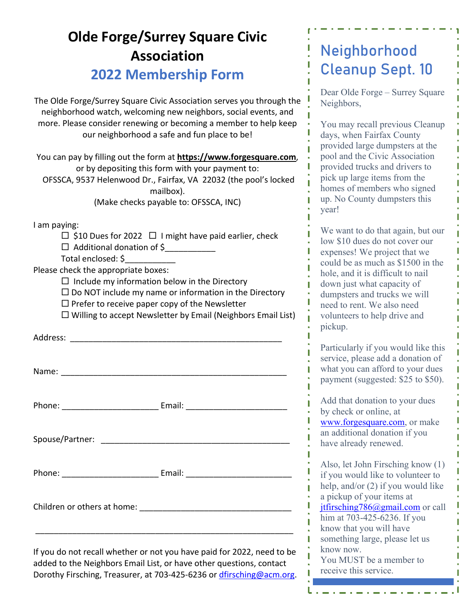## **Olde Forge/Surrey Square Civic Association 2022 Membership Form**

The Olde Forge/Surrey Square Civic Association serves you through the neighborhood watch, welcoming new neighbors, social events, and more. Please consider renewing or becoming a member to help keep our neighborhood a safe and fun place to be!

You can pay by filling out the form at **https://www.forgesquare.com**, or by depositing this form with your payment to: OFSSCA, 9537 Helenwood Dr., Fairfax, VA 22032 (the pool's locked mailbox). (Make checks payable to: OFSSCA, INC)

I am paying:

Address: \_\_\_\_\_\_\_\_\_\_\_\_\_\_\_\_\_\_\_\_\_\_\_\_\_\_\_\_\_\_\_\_\_\_\_\_\_\_\_\_\_\_\_\_\_\_

 $\Box$  \$10 Dues for 2022  $\Box$  I might have paid earlier, check Additional donation of \$\_\_\_\_\_\_\_\_\_\_\_

Total enclosed: \$\_\_\_\_\_\_\_\_\_\_\_

Please check the appropriate boxes:

 $\Box$  Include my information below in the Directory

 $\square$  Do NOT include my name or information in the Directory

 $\square$  Prefer to receive paper copy of the Newsletter

 $\Box$  Willing to accept Newsletter by Email (Neighbors Email List)

|                             | Phone: _________________________________ Email: ________________________________ |
|-----------------------------|----------------------------------------------------------------------------------|
|                             |                                                                                  |
|                             |                                                                                  |
| Children or others at home: |                                                                                  |

If you do not recall whether or not you have paid for 2022, need to be added to the Neighbors Email List, or have other questions, contact Dorothy Firsching, Treasurer, at 703-425-6236 or dfirsching@acm.org.

\_\_\_\_\_\_\_\_\_\_\_\_\_\_\_\_\_\_\_\_\_\_\_\_\_\_\_\_\_\_\_\_\_\_\_\_\_\_\_\_\_\_\_\_\_\_\_\_\_\_\_\_\_\_\_\_

## **Neighborhood Cleanup Sept. 10**

Dear Olde Forge – Surrey Square Neighbors,

You may recall previous Cleanup days, when Fairfax County provided large dumpsters at the pool and the Civic Association provided trucks and drivers to pick up large items from the homes of members who signed up. No County dumpsters this year!

We want to do that again, but our low \$10 dues do not cover our expenses! We project that we could be as much as \$1500 in the hole, and it is difficult to nail down just what capacity of dumpsters and trucks we will need to rent. We also need volunteers to help drive and pickup.

Particularly if you would like this service, please add a donation of what you can afford to your dues payment (suggested: \$25 to \$50).

Add that donation to your dues by check or online, at www.forgesquare.com, or make an additional donation if you have already renewed.

Also, let John Firsching know (1) if you would like to volunteer to help, and/or (2) if you would like a pickup of your items at jtfirsching786@gmail.com or call him at 703-425-6236. If you know that you will have something large, please let us know now. You MUST be a member to

receive this service.